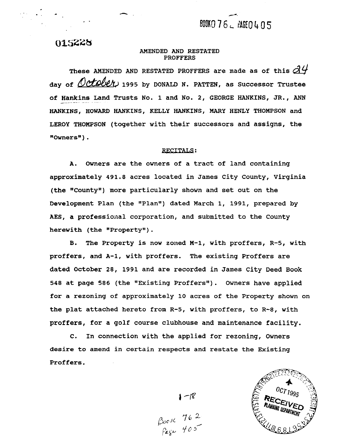# BOOKO 76 \_ PAGEO 4 0 5

**Q)%SZ28** 

#### AMENDED AND RESTATED PROFFERS

These AMENDED AND RESTATED PROFFERS are made as of this  $\beta$ 4 day of October, 1995 by DONALD N. PATTEN, as Successor Trustee of Hankins Land Trusts No. 1 and No. 2, GEORGE HANKINS, JR., ANN HANKINS, HOWARD **HANKINS,** KELLY HANKINS, MARY HENLY THOMPSON and LEROY THOMPSON (together with their successors and assigns, the "Owners" ) .

#### **RECITALS:**

A. Owners are the owners of a tract of land containing approximately 491.8 acres located in James City County, Virginia (the "County") more particularly shown and set out on the Development Plan (the "Plan") dated March 1, 1991, prepared by AES, a professional corporation, and submitted to the County herewith (the "Property").

B. The Property is now zoned M-1, with proffers, R-5, with proffers, and A-1, with proffers. The existing Proffers are dated October 28, 1991 and are recorded in James City Deed Book 548 at page 586 (the "Existing Proffers"). Owners have applied for a rezoning of approximately 10 acres of the Property shown on the plat attached hereto from R-5, with proffers, to R-8, with proffers, for a golf course clubhouse and maintenance facility.

C. In connection with the applied for rezoning, Owners desire to amend in certain respects and restate the Existing Proffers.



 $1 - 18$ <br> $\beta_{00}$   $\kappa$   $762$ <br> $\beta_{45}$   $765$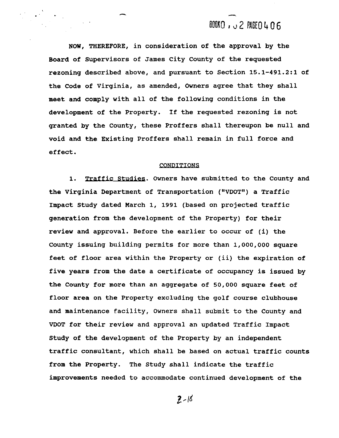## BOOKO, J2 PAGEO 406

NOW, THEREFORE, in consideration of the approval by the Board of Supervisors of James City County of the requested rezoning described above, and pursuant to Section **15.1-491.2:l** of the Code of Virginia, as amended, Owners agree that they shall meet and comply with all of the following conditions in the development of the Property. If the requested rezoning is not granted by the County, these Proffers shall thereupon be null and void and the Existing Proffers shall remain in full force and effect .

#### CONDITIONS

1. Traffic Studies. Owners have submitted to the County and the Virginia Department of Transportation ("VDOT") a Traffic Impact Study dated March **1, 1991** (based on projected traffic generation from the development of the Property) for their review and approval. Before the earlier to occur of (i) the County issuing building permits for more than **1,000,000** square feet of floor area within the Property or (ii) the expiration of five years from the date a certificate of occupancy is issued by the County for more than an aggregate of **50,000** square feet of floor area on the Property excluding the golf course clubhouse and maintenance facility, Owners shall submit to the County and VDOT for their review and approval an updated Traffic Impact Study of the development of the Property by an independent traffic consultant, which shall be based on actual traffic counts from the Property. The Study shall indicate the traffic improvements needed to accommodate continued development of the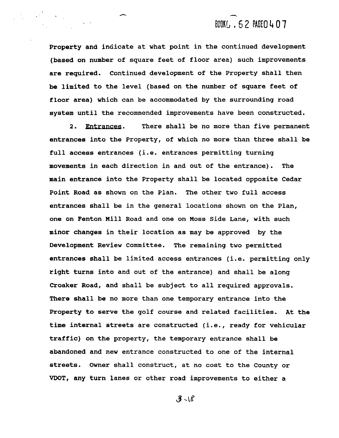## BOOKG . 62 PAGEO 407

**Property and indicate at what point in the continued development (based on number of square feet of floor area) such improvements are required. Continued development of the Property shall then be limited to the level (based on the number of square feet of floor area) which can be accommodated by the surrounding road system until the recommended improvements have been constructed.** 

**2.** Entrances. **There shall be no more than five permanent entrances into the Property, of which no more than three shall be full access entrances (i.e. entrances permitting turning movements in each direction in and out of the entrance). The main entrance into the Property shall be located opposite Cedar Point Road as shown on the Plan. The other two full access entrances shall be in the general locations shown on the Plan, one on Fenton Mill Road and one on Moss Side Lane, with such minor changes in their location as may be approved by the Development Review Committee. The remaining two permitted entrances shall be limited access entrances (i.e. permitting only right turns into and out of the entrance) and shall be along Croaker Road, and shall be subject to all required approvals. There shall be no more than one temporary entrance into the Property to serve the golf course and related facilities. At the time internal streets are constructed (i.e., ready for vehicular traffic) on the property, the temporary entrance shall be abandoned and new entrance constructed to one of the internal streets. Owner shall construct, at no cost to the County or VDOT, any turn lanes or other road improvements to either a**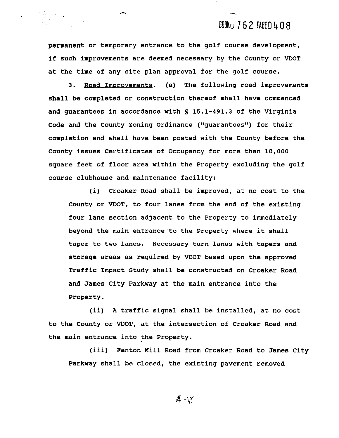## **BOONU 762 PAGEO 408**

permanent or temporary entrance to the golf course development, if such improvements are deemed necessary by the County or VDOT at the time of any site plan approval for the golf course. e time of any site plan approval for the golf course.<br>3. Road Improvements. (a) The following road improvements

shall be completed or construction thereof shall have commenced and guarantees in accordance with **S 15.1-491.3** of the Virginia Code and the County Zoning Ordinance ("guarantees") for their completion and shall have been posted with the County before the County issues Certificates of Occupancy for more than **10,000**  square feet of floor area within the Property excluding the golf course clubhouse and maintenance facility:

(i) Croaker Road shall be improved, at no cost to the County or VDOT, to four lanes from the end of the existing four lane section adjacent to the Property to immediately beyond the main entrance to the Property where it shall taper to two lanes. Necessary turn lanes with tapers and storage areas as required by VDOT based upon the approved Traffic Impact Study shall be constructed on Croaker Road and James City Parkway at the main entrance into the Property.

(ii) **A** traffic signal shall be installed, at no cost to the County or VDOT, at the intersection of Croaker Road and the main entrance into the Property.

(iii) Fenton Mill Road from Croaker Road to James City Parkway shall be closed, the existing pavement removed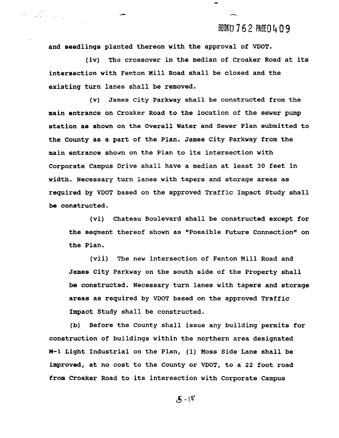### BOOKD 762 PAGE 0 4 0 9

and seedlings planted thereon with the approval of VDOT.

 $\label{eq:1} \mathcal{L}(\mathcal{L}_{\mathcal{C}}) = \mathcal{L}(\mathcal{L}_{\mathcal{C}}) = \mathcal{L}(\mathcal{L}_{\mathcal{C}})$ 

(iv) The crossover in the median of Croaker Road at its intersection with Fenton Mill Road shall be closed and the existing turn lanes shall be removed.

(v) James City Parkway shall be constructed from the main entrance on Croaker Road to the location of the sewer pump station as shown on the Overall Water and Sewer Plan submitted to the County as a part of the Plan. James City Parkway from the main entrance shown on the Plan to its intersection with Corporate Campus Drive shall have a median at least 30 feet in width. Necessary turn lanes with tapers and storage areas as required by VDOT based on the approved Traffic Impact Study shall be constructed.

(vi) Chateau Boulevard shall be constructed except for the segment thereof shown as "Possible Future Connection" on the Plan.

(vii) The new intersection of Fenton Mill Road and James City Parkway on the south side of the Property shall be constructed. Necessary turn lanes with tapers and storage areas as required by VDOT based on the approved Traffic Impact Study shall be constructed.

(b) Before the County shall issue any building permits for construction of buildings within the northern area designated **M-1** Light Industrial on the Plan, (i) Moss Side Lane shall be improved, at no cost to the County or VDOT, to a 22 foot road from Croaker Road to its intersection with Corporate Campus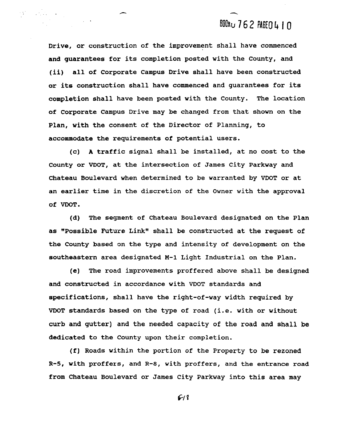# BOONU 762 PAGE0410

Drive, or construction of the improvement shall have commenced and guarantees for its completion posted with the County, and (ii) all of Corporate Campus Drive shall have been constructed or its construction shall have commenced and guarantees for its completion shall have been posted with the County. The location of Corporate Campus Drive may be changed from that shown on the Plan, with the consent of the Director of Planning, to accommodate the requirements of potential users.

(c) **A** traffic signal shall be installed, at no cost to the County or VDOT, at the intersection of James City Parkway and Chateau Boulevard when determined to be warranted by VDOT or at an earlier time in the discretion of the Owner with the approval of VDOT.

(d) The segment of Chateau Boulevard designated on the Plan as "Possible Future Link" shall be constructed at the request of the County based on the type and intensity of development on the southeastern area designated **M-1** Light Industrial on the Plan.

(e) The road improvements proffered above shall be designed and constructed in accordance with VDOT standards and specifications, shall have the right-of-way width required by VDOT standards based on the type of road (i.e. with or without curb and gutter) and the needed capacity of the road and shall be dedicated to the County upon their completion.

(f) Roads within the portion of the Property to be rezoned R-5, with proffers, and R-8, with proffers, and the entrance road from Chateau Boulevard or James City Parkway into this area may

 $619$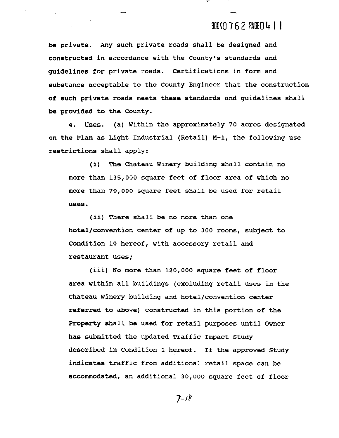## BOOK0762 PAGE0411

be private. Any such private roads shall be designed and constructed in accordance with the County's standards and guidelines for private roads. Certifications in form and substance acceptable to the County Engineer that the construction of such private roads meets these standards and guidelines shall be provided to the County.

 $\label{eq:2} \frac{1}{2}\sum_{i=1}^n\frac{1}{2}\sum_{i=1}^n\frac{1}{2}\sum_{i=1}^n\frac{1}{2}\sum_{i=1}^n\frac{1}{2}\sum_{i=1}^n\frac{1}{2}\sum_{i=1}^n\frac{1}{2}\sum_{i=1}^n\frac{1}{2}\sum_{i=1}^n\frac{1}{2}\sum_{i=1}^n\frac{1}{2}\sum_{i=1}^n\frac{1}{2}\sum_{i=1}^n\frac{1}{2}\sum_{i=1}^n\frac{1}{2}\sum_{i=1}^n\frac{1}{2}\sum_{i=1}^n\frac{$ 

4. **Jlses.** (a) Within the approximately 70 acres designated on the Plan as Light Industrial (Retail) M-1, the following use restrictions shall apply:

(i) The Chateau Winery building shall contain no more than 135,000 square feet of floor area of which no more than 70,000 square feet shall be used for retail uses.

(ii) There shall be no more than one hotel/convention center of up to 300 rooms, subject to Condition 10 hereof, with accessory retail and restaurant uses;

(iii) No more than 120,000 square feet of floor area within all buildings (excluding retail uses in the Chateau Winery building and hotel/convention center referred to above) constructed in this portion of the Property shall be used for retail purposes until Owner has submitted the updated Traffic Impact Study described in Condition 1 hereof. If the approved Study indicates traffic from additional retail space can be accommodated, an additional 30,000 square feet of floor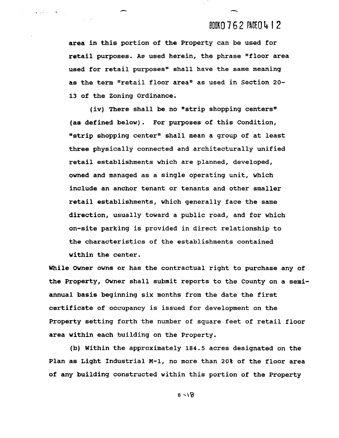### BOOKO 762 PACEO 412

area in this portion of the Property can be used for retail purposes. As used herein, the phrase "floor area used for retail purposes" shall have the same meaning as the term "retail floor area" as used in Section 20-13 of the Zoning Ordinance.

 $\label{eq:2} \frac{1}{2} \int_{\mathbb{R}^3} \frac{1}{\sqrt{2}} \, \frac{1}{\sqrt{2}} \, \frac{1}{\sqrt{2}} \, \frac{1}{\sqrt{2}} \, \frac{1}{\sqrt{2}} \, \frac{1}{\sqrt{2}} \, \frac{1}{\sqrt{2}} \, \frac{1}{\sqrt{2}} \, \frac{1}{\sqrt{2}} \, \frac{1}{\sqrt{2}} \, \frac{1}{\sqrt{2}} \, \frac{1}{\sqrt{2}} \, \frac{1}{\sqrt{2}} \, \frac{1}{\sqrt{2}} \, \frac{1}{\sqrt{2}} \, \frac{1}{\sqrt{2}} \, \frac$ 

(iv) There shall be no "strip shopping centers" (as defined below). For purposes of this Condition, "strip shopping center" shall mean a group of at least three physically connected and architecturally unified retail establishments which are planned, developed, owned and managed as a single operating unit, which include an anchor tenant or tenants and other smaller retail establishments, which generally face the same direction, usually toward a public road, and for which on-site parking is provided in direct relationship to the characteristics of the establishments contained within the center.

While Owner owns or has the contractual right to purchase any of the Property, Owner shall submit reports to the County on a semiannual basis beginning six months from the date the first certificate of occupancy is issued for development on the Property setting forth the number of square feet of retail floor area within each building on the Property.

(b) Within the approximately 184.5 acres designated on the Plan as Light Industrial M-1, no more than 20% of the floor area of any building constructed within this portion of the Property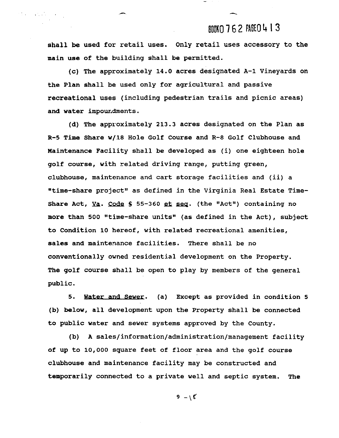### **EUUKO 7** 6 2 PAGE0 4 1 3

-

**shall be used for retail uses. Only retail uses accessory to the main use of the building shall be permitted.** 

 $\mathcal{O}(1/\sqrt{2})$  ,  $\mathcal{O}(1/\sqrt{2})$  ,  $\mathcal{O}(1/\sqrt{2})$ 

**(c) The approximately 14.0 acres designated A-1 Vineyards on the Plan shall be used only for agricultural and passive recreational uses (including pedestrian trails and picnic areas) and water impour.dments** .

**(d) The approximately 213.3 acres designated on the Plan as R-5 Time Share w/18 Hole Golf Course and R-8 Golf Clubhouse and Maintenance Facility shall be developed as (i) one eighteen hole golf course, with related driving range, putting green, clubhouse, maintenance and cart storage facilities and (ii) a "time-share project" as defined in the Virginia Real Estate Time-Share Act, Va. Code § 55-360 et seq. (the "Act") containing no more than 500 "time-share units" (as defined in the Act), subject to Condition 10 hereof, with related recreational amenities, sales and maintenance facilities. There shall be no conventionally owned residential development on the Property. The golf course shall be open to play by members of the general public.** 

**5.** Water. **(a) Except as provided in condition 5 (b) below, all development upon the Property shall be connected to public water and sewer systems approved by the County.** 

**(b) A sales/information/administration/management facility of up to 10,000 square feet of floor area and the golf course clubhouse and maintenance facility may be constructed and temporarily connected to a private well and septic system. The**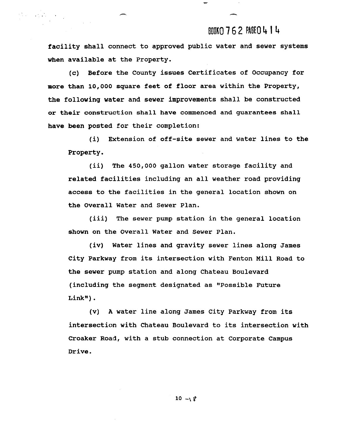## BOOKO 762 PAGEO 414

facility shall connect to approved public water and sewer systems when available at the Property.

 $\label{eq:2.1} \sum_{i=1}^N \mathcal{L}_i = \sum_{i=1}^N \mathcal{L}_i \left( \sum_{i=1}^N \mathcal{L}_i \right) \mathcal{L}_i \left( \sum_{i=1}^N \mathcal{L}_i \right)$ 

(c) Before the County issues Certificates of Occupancy for more than **10,000** square feet of floor area within the Property, the following water and sewer improvements shall be constructed or their construction shall have commenced and guarantees shall have been posted for their completion:

(i) Extension of off-site sewer and water lines to the Property.

(ii) The **450,000** gallon water storage facility and related facilities including an all weather road providing access to the facilities in the general location shown on the Overall Water and Sewer Plan.

(iii) The sewer pump station in the general location shown on the Overall Water and Sewer Plan.

(iv) Water lines and gravity sewer lines along James City Parkway from its intersection with Fenton Mill Road to the sewer pump station and along Chateau Boulevard (including the segment designated as "Possible Future  $Link"$ ).

(v) **A** water line along James City Parkway from its intersection with Chateau Boulevard to its intersection with Croaker Road, with a stub connection at Corporate Campus Drive.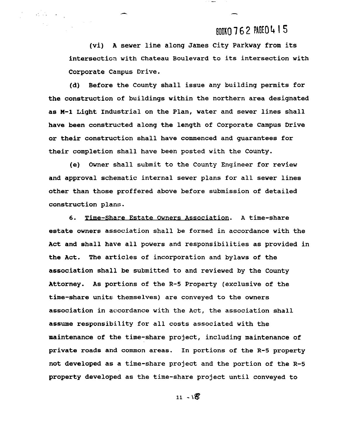## BOOKO 762 PAGEO 415

(vi) A sewer line along James City Parkway from its intersection with Chateau Boulevard to its intersection with Corporate Campus Drive.

 $\label{eq:2} \mathcal{L}^{\text{c}}_{\text{c}}(\mathcal{L}^{\text{c}}_{\text{c}}) = \mathcal{L}^{\text{c}}_{\text{c}}(\mathcal{L}^{\text{c}}_{\text{c}})$ 

(d) Before the County shall issue any building permits for the construction of buildings within the northern area designated as M-1 Light Industrial on the Plan, water and sewer lines shall have been constructed along the length of Corporate Campus Drive or their construction shall have commenced and guarantees for their completion shall have been posted with the County.

(e) Owner shall submit to the County Engineer for review and approval schematic internal sewer plans for all sewer lines other than those proffered above before submission of detailed construction plans.

6. Time-Share Estate Owners Association. A time-share estate owners association shall be formed in accordance with the Act and shall have all powers and responsibilities as provided in the Act. The articles of incorporation and bylaws of the association shall be submitted to and reviewed by the County Attorney. As portions of the R-5 Property (exclusive of the time-share units themselves) are conveyed to the owners association in accordance with the Act, the association shall assume responsibility for all costs associated with the maintenance of the time-share project, including maintenance of private roads and common areas. In portions of the R-5 property not developed as a time-share project and the portion of the R-5 property developed as the time-share project until conveyed to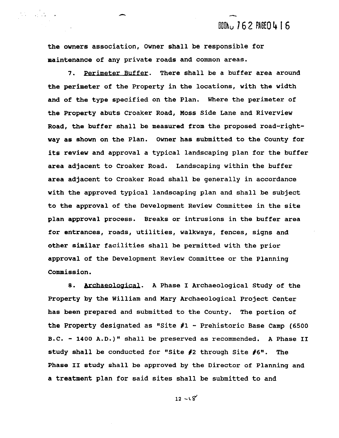**BOON: 762 PAGEO416** 

the owners association, Owner shall be responsible for maintenance of any private roads and common areas.

 $\label{eq:1} \sum_{i=1}^n \frac{1}{\left(1-\frac{1}{2}\right)^{i}} \sum_{i=1}^n \frac{1}{\left(1-\frac{1}{2}\right)^{i}}$ 

**7. PerimeterBuffer.** There shall be a buffer area around the perimeter of the Property in the locations, with the width and of the type specified on the Plan. Where the perimeter of the Property abuts Croaker Road, Moss Side Lane and Riverview Road, the buffer shall be measured from the proposed road-rightway as shown on the Plan. Owner has submitted to the County for its review and approval a typical landscaping plan for the buffer area adjacent to Croaker Road. Landscaping within the buffer area adjacent to Croaker Road shall be generally in accordance with the approved typical landscaping plan and shall be subject to the approval of the Development Review Committee in the site plan approval process. Breaks or intrusions in the buffer area for entrances, roads, utilities, walkways, fences, signs and other similar facilities shall be permitted with the prior approval of the Development Review Committee or the Planning Commission.

8. Archaeological. A Phase I Archaeological Study of the Property by the William and Mary Archaeological Project Center has been prepared and submitted to the County. The portion of the Property designated as "Site **#l** - Prehistoric Base Camp (6500 B.C. - 1400 A.D.)" shall be preserved as recommended. A Phase **I1**  study shall be conducted for "Site #2 through Site #6". The Phase **I1** study shall be approved by the Director of Planning and a treatment plan for said sites shall be submitted to and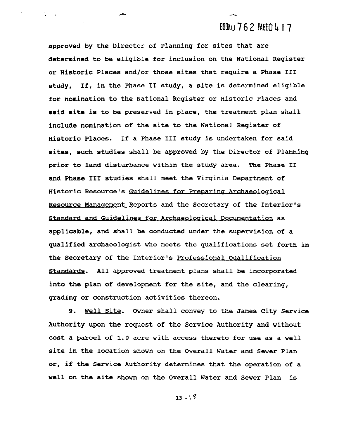## **BOOAU 762 PAGE0417**

approved by the Director of Planning for sites that are determined to be eligible for inclusion on the National Register or Historic Places and/or those sites that require a Phase I11 study, If, in the Phase I1 study, a site is determined eligible for nomination to the National Register or Historic Places and said site is to be preserved in place, the treatment plan shall include nomination of the site to the National Register of Historic Places. If a Phase I11 study is undertaken for said sites, such studies shall be approved by the Director of Planning prior to land disturbance within the study area. The Phase **I1**  and Phase I11 studies shall meet the Virginia Department of Historic Resource's Guidelines for Preparing Archaeological Resource Management Reports and the Secretary of the Interior's Standard and Guidelines for Archaeological Documentation as applicable, and shall be conducted under the supervision of a qualified archaeologist who meets the qualifications set forth in the Secretary of the Interior's Professional Oualification Standards. All approved treatment plans shall be incorporated into the plan of development for the site, and the clearing, grading or construction activities thereon.

9. Well Site. Owner shall convey to the James City Service Authority upon the request of the Service Authority and without cost a parcel of 1.0 acre with access thereto for use as a well site in the location shown on the Overall Water and Sewer Plan or, if the Service Authority determines that the operation of a well on the site shown on the Overall Water and Sewer Plan is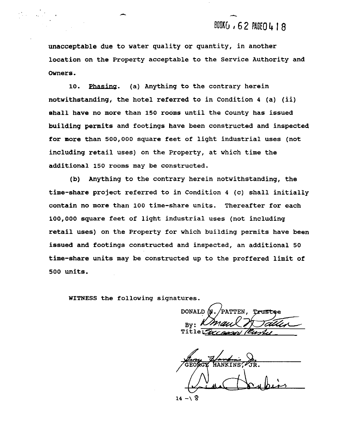## BOOKG , 62 PAGEO 4 18

unacceptable due to water quality or quantity, in another location on the Property acceptable to the Service Authority and Owners.

**10.** phasing. (a) Anything to the contrary herein notwithstanding, the hotel referred to in Condition **4** (a) (ii) shall have no more than **150** rooms until the County has issued building permits and footings have been constructed and inspected for more than **500,000** square feet of light industrial uses (not including retail uses) on the Property, at which time the additional **150** rooms may be constructed.

(b) Anything to the contrary herein notwithstanding, the time-share project referred to in Condition 4 (c) shall initially contain no more than **100** time-share units. Thereafter for each **100,000** square feet of light industrial uses (not including retail uses) on the Property for which building permits have been issued and footings constructed and inspected, an additional **50**  time-share units may be constructed up to the proffered limit of **500** units.

WITNESS the following signatures.

 $\bigcap$ By: Title $\mathbf{Z}$ 

**HANKINS** 

 $14 - 8$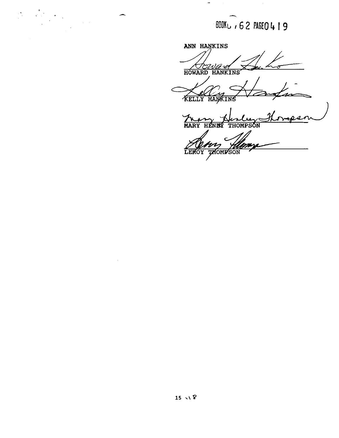**BOOKL / 62 PAGEO 419** 

**ANN HANKINS HOWARD HANKINS'** 

 $\label{eq:2} \frac{1}{\sqrt{2}}\sum_{i=1}^N\frac{1}{\sqrt{2}}\sum_{i=1}^N\frac{1}{\sqrt{2}}\sum_{i=1}^N\frac{1}{\sqrt{2}}\sum_{i=1}^N\frac{1}{\sqrt{2}}\sum_{i=1}^N\frac{1}{\sqrt{2}}\sum_{i=1}^N\frac{1}{\sqrt{2}}\sum_{i=1}^N\frac{1}{\sqrt{2}}\sum_{i=1}^N\frac{1}{\sqrt{2}}\sum_{i=1}^N\frac{1}{\sqrt{2}}\sum_{i=1}^N\frac{1}{\sqrt{2}}\sum_{i=1}^N\frac{1$ 

 $\Rightarrow$ KELLY HAWKIN

 $\overline{a}$ **MARY HENS THOMPSON** 

**THOMPSON** LEROY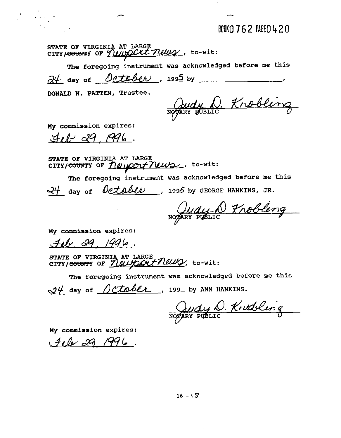BOOKO 762 PAGEO 420

STATE OF VIRGINIA AT LARGE<br>CITY/<del>COUNT</del>Y OF *Y UULOOUL TILLUY*, to-wit:

The foregoing instrument was acknowledged before me this  $\frac{\partial \psi}{\partial x}$  day of <u>October</u>, 199<sup>5</sup> by **I** 

**DONALD N. PATTEN, Trustee.** 

Judy D. Knobling

**MY commission expires:** 

 $\label{eq:2} \mathcal{L}_{\text{eff}} = \mathcal{L}_{\text{eff}} + \mathcal{L}_{\text{eff}}$ 

 $4.0029.1996.$ 

**STATE OF VIRGINIA AT LARGE**  CITY/<del>COUNT</del>Y OF *<u>NUIPOLY NUWS</u>*, to-wit:

**The foregoing instrument was acknowledged before me this**  24 day of <u>October</u>, 1995 by GEORGE HANKINS, JR.

Quay D Frobling

**My commission expires:** 

**STATE OF VIRGINIA AT LARGE**  *Feb.* 29, 1996.<br>
Feb. 29, 1996.<br>
STATE OF VIRGINIA AT LARGE<br>
CITY/<del>COUNTY</del> OF <u>NUUYOOUT NUUY</u>, to-wit:

**The foregoing instrument was acknowledged before me this** 

 $\frac{94}{4}$  day of <u>October</u>, 199<sub>-</sub> by ANN HANKINS.

Judy D. Krudeling

**MY commission expires:** 

 $H_{\ell}$  29, 1996.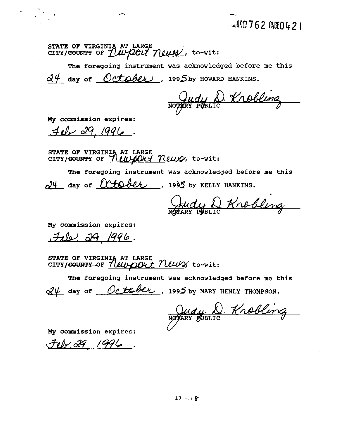ST<mark>ATE OF VIRGIN</mark> STATE OF VIRGINIA AT LARGE<br>CITY/COUNTY OF *LUPPOLY MILLES*, to-wit:

**The foregoing instrument was acknowledged before me this**   $d\theta$  day of  $October$ , 1995by HOWARD HANKINS.

Judy D. Krobling

**My commission expires:** 

 $\label{eq:2} \mathcal{O}(\frac{1}{\sqrt{2}}\sum_{i=1}^N\frac{1}{\sqrt{2}}\sum_{i=1}^N\frac{1}{\sqrt{2}}\sum_{i=1}^N\frac{1}{\sqrt{2}}\sum_{i=1}^N\frac{1}{\sqrt{2}}\sum_{i=1}^N\frac{1}{\sqrt{2}}\sum_{i=1}^N\frac{1}{\sqrt{2}}\sum_{i=1}^N\frac{1}{\sqrt{2}}\sum_{i=1}^N\frac{1}{\sqrt{2}}\sum_{i=1}^N\frac{1}{\sqrt{2}}\sum_{i=1}^N\frac{1}{\sqrt{2}}\sum_{i=1}$ 

**STATE OF VIRGINIA AT LARGE CITY/GOUNTY OF** *ALWADE*<br>
STATE OF VIRGINIA AT LARGE<br>
CITY/<del>GOUNTY</del> OF *ALWADE News*, to-wit:

**The foregoing instrument was acknowledged before me this**  24 day of <u>October</u>, 1995 by KELLY HANKINS.

**My commission expires:** 

<u>Fele, 29, 1996.</u>

**STATE OF VIRGINIA AT LARGE** CITY/SOUNTY-OF <u>Newport</u> News, to-wit:

**The foregoing instrument was acknowledged before me this** 

 $\frac{d\psi}{dt}$  day of <u>October</u>, 1995 by MARY HENLY THOMPSON.

Morthan Way D. Knobling<br>My commission expires:

 $F_{12} - 29$  1996.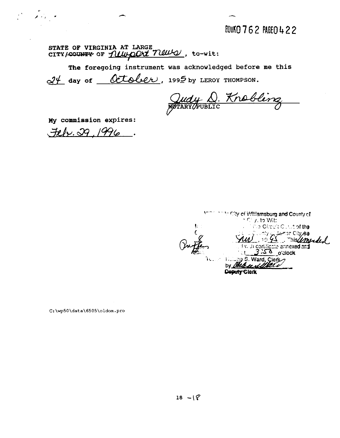BOUKO 762 PAGEO 422

**STATE OF VIRGINIA AT LARGE** 

STATE OF VIRGINIA AT LARGE<br>
CITY/<del>COUNTY</del> OF *1110001 TIBULO*, to-wit:<br>
The foregoing instrument was acknowledged before<br>
24 day of <u>OCLOUC</u>U, 1995 by LEROY THOMPSON. **The foregoing instrument was acknowledged before me this** 

**ny commission expires:** 

 $\mathcal{L}^{\text{max}}_{\text{max}}$ 

Feb. 29, 1996

*Print City of Milliamsburg and County of*  $\overline{\mathbb{C}}$  y, to Wit: the Circuit Cusuf of the er se Citygh**a**l 109 - 1093 - This <u>Umeded</u><br>Hydric conditionte annexed and<br>'ct 3.58 - o'clock<br>198. Ward, Glerk ĨU. by Bele Deputy Clerk

C:\wp50\data\6505\oldom.pro